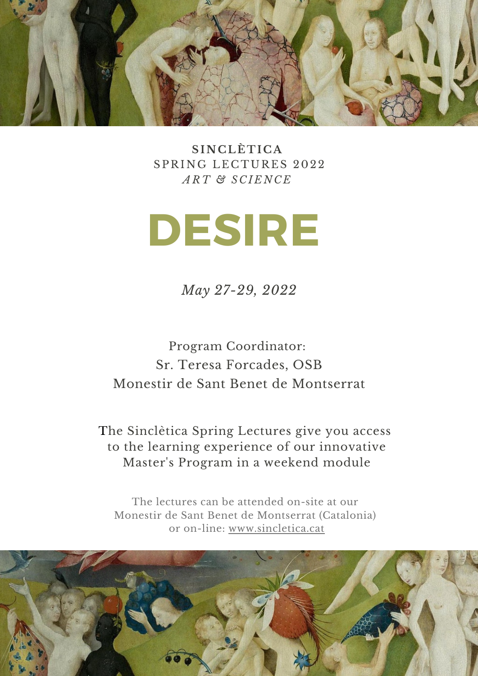

**SINC LÈ T I C A** SPRING LECTURES 2022 *ART & S C I E N C E*

# **DESIRE**

*May 27-29, 2022*

Program Coordinator: Sr. Teresa Forcades, OSB Monestir de Sant Benet de Montserrat

The Sinclètica Spring Lectures give you access to the learning experience of our innovative Master's Program in a weekend module

The lectures can be attended on-site at our Monestir de Sant Benet de Montserrat (Catalonia) or on-lin[e:](http://www.sincletica.cat/) [www.sincletica.cat](http://www.sincletica.cat/)

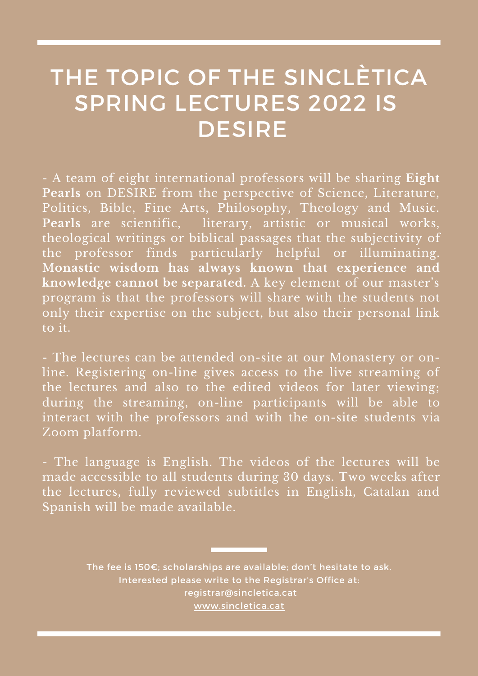# THE TOPIC OF THE SINCLÈTICA SPRING LECTURES 2022 IS **DESIRE**

- A team of eight international professors will be sharing **Eight Pearls** on DESIRE from the perspective of Science, Literature, Politics, Bible, Fine Arts, Philosophy, Theology and Music. **Pearls** are scientific, literary, artistic or musical works, theological writings or biblical passages that the subjectivity of the professor finds particularly helpful or illuminating. M**onastic wisdom has always known that experience and knowledge cannot be separated.** A key element of our master's program is that the professors will share with the students not only their expertise on the subject, but also their personal link to it.

- The lectures can be attended on-site at our Monastery or online. Registering on-line gives access to the live streaming of the lectures and also to the edited videos for later viewing; during the streaming, on-line participants will be able to interact with the professors and with the on-site students via Zoom platform.

- The language is English. The videos of the lectures will be made accessible to all students during 30 days. Two weeks after the lectures, fully reviewed subtitles in English, Catalan and Spanish will be made available.

> The fee is 150€; scholarships are available; don't hesitate to ask. Interested please write to the Registrar's Office at: [registrar@sincletica.cat](http://sincletica.cat/) [www.sincletica.cat](https://www.sincletica.cat/)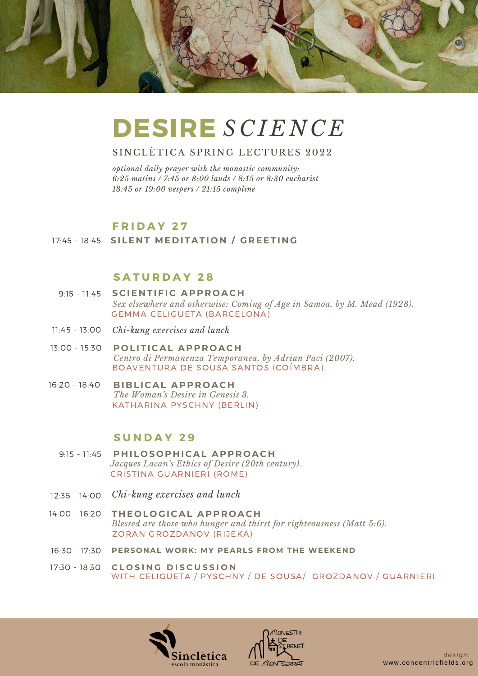

# **DESIRE** *S C I E N C E*

#### SINCLÈTICA SPRING LECTURES 2022

*optional daily prayer with the monastic community: 6:25 matins / 7:45 or 8:00 lauds / 8:15 or 8:30 eucharist 18:45 or 19:00 vespers / 21:15 compline*

### **F R I D A Y 2 7**

### 17:45 - 18:45 **SILE N T ME D ITATI O N / GR EETI N G**

# **S A T U R D A Y 2 8**

- **S C IE N TIFI C AP P R O AC H** 9:15 11:45 GEMMA CELIGUETA (BARCELONA) *Sex elsewhere and otherwise: Coming of Age in Samoa, by M. Mead (1928).*
- 11:45 13:00 *Chi-kung exercises and lunch*
- 13:00 15:30 **P O LITI CAL AP P R O AC H** BOAVENTURA DE SOUSA SANTOS (COÍMBRA) *Centro di Permanenza Temporanea, by Adrian Paci (2007).*
- **BIBLI CAL AP P R O AC H** KATHARINA PYSCHNY (BERLIN) 16:20 - 18:40 *The Woman's Desire in Genesis 3.*

# **S U N D A Y 2 9**

- 9:15 11:45 **P H IL O S O P H I CAL AP P R O AC H** CRISTINA GUARNIERI (ROME) *Jacques Lacan's Ethics of Desire (20th century).*
- *Chi-kung exercises and lunch* 12:35 14:00
- 14:00 16:20 **T H E O L O GI CAL AP P R O AC H** ZORAN GROZDANOV (RIJEKA) *Blessed are those who hunger and thirst for righteousness (Matt 5:6).*
- 16:30 17:30 **PERSONAL WORK: MY PEARLS FROM THE WEEKEND**
- **C L O S I N G D I S C U S S I O N** 17:30 18:30 WITH CELIGUETA / PYSCHNY / DE SOUSA/ GROZDANOV / GUARNIERI